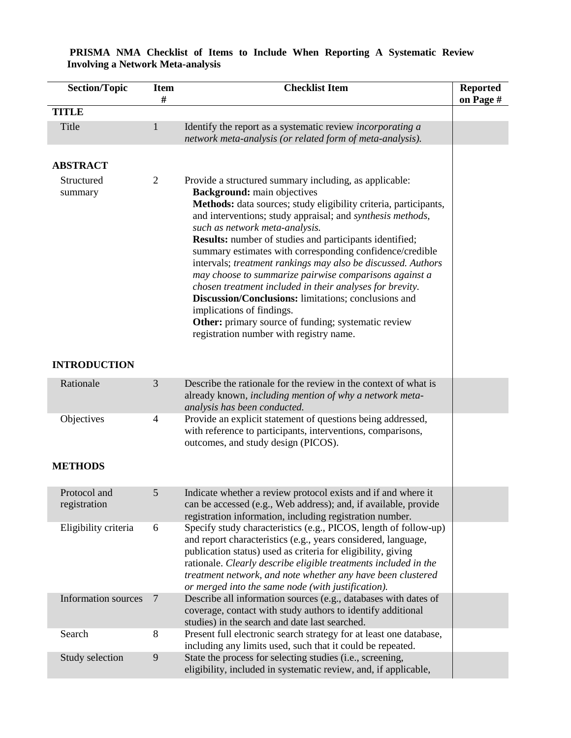| <b>Section/Topic</b>                     | <b>Item</b><br># | <b>Checklist Item</b>                                                                                                                                                                                                                                                                                                                                                                                                                                                                                                                                                                | <b>Reported</b><br>on Page # |
|------------------------------------------|------------------|--------------------------------------------------------------------------------------------------------------------------------------------------------------------------------------------------------------------------------------------------------------------------------------------------------------------------------------------------------------------------------------------------------------------------------------------------------------------------------------------------------------------------------------------------------------------------------------|------------------------------|
| <b>TITLE</b>                             |                  |                                                                                                                                                                                                                                                                                                                                                                                                                                                                                                                                                                                      |                              |
| Title                                    | 1                | Identify the report as a systematic review <i>incorporating a</i><br>network meta-analysis (or related form of meta-analysis).                                                                                                                                                                                                                                                                                                                                                                                                                                                       |                              |
| <b>ABSTRACT</b><br>Structured<br>summary | 2                | Provide a structured summary including, as applicable:<br><b>Background:</b> main objectives<br>Methods: data sources; study eligibility criteria, participants,<br>and interventions; study appraisal; and synthesis methods,<br>such as network meta-analysis.<br><b>Results:</b> number of studies and participants identified;<br>summary estimates with corresponding confidence/credible<br>intervals; treatment rankings may also be discussed. Authors<br>may choose to summarize pairwise comparisons against a<br>chosen treatment included in their analyses for brevity. |                              |
|                                          |                  | Discussion/Conclusions: limitations; conclusions and<br>implications of findings.<br>Other: primary source of funding; systematic review<br>registration number with registry name.                                                                                                                                                                                                                                                                                                                                                                                                  |                              |
| <b>INTRODUCTION</b>                      |                  |                                                                                                                                                                                                                                                                                                                                                                                                                                                                                                                                                                                      |                              |
| Rationale                                | 3                | Describe the rationale for the review in the context of what is<br>already known, including mention of why a network meta-<br>analysis has been conducted.                                                                                                                                                                                                                                                                                                                                                                                                                           |                              |
| Objectives                               | 4                | Provide an explicit statement of questions being addressed,<br>with reference to participants, interventions, comparisons,<br>outcomes, and study design (PICOS).                                                                                                                                                                                                                                                                                                                                                                                                                    |                              |
| <b>METHODS</b>                           |                  |                                                                                                                                                                                                                                                                                                                                                                                                                                                                                                                                                                                      |                              |
| Protocol and<br>registration             | 5                | Indicate whether a review protocol exists and if and where it<br>can be accessed (e.g., Web address); and, if available, provide<br>registration information, including registration number.                                                                                                                                                                                                                                                                                                                                                                                         |                              |
| Eligibility criteria                     | 6                | Specify study characteristics (e.g., PICOS, length of follow-up)<br>and report characteristics (e.g., years considered, language,<br>publication status) used as criteria for eligibility, giving<br>rationale. Clearly describe eligible treatments included in the<br>treatment network, and note whether any have been clustered<br>or merged into the same node (with justification).                                                                                                                                                                                            |                              |
| <b>Information sources</b>               | $\overline{7}$   | Describe all information sources (e.g., databases with dates of<br>coverage, contact with study authors to identify additional<br>studies) in the search and date last searched.                                                                                                                                                                                                                                                                                                                                                                                                     |                              |
| Search                                   | 8                | Present full electronic search strategy for at least one database,<br>including any limits used, such that it could be repeated.                                                                                                                                                                                                                                                                                                                                                                                                                                                     |                              |
| Study selection                          | 9                | State the process for selecting studies (i.e., screening,<br>eligibility, included in systematic review, and, if applicable,                                                                                                                                                                                                                                                                                                                                                                                                                                                         |                              |

#### **PRISMA NMA Checklist of Items to Include When Reporting A Systematic Review Involving a Network Meta-analysis**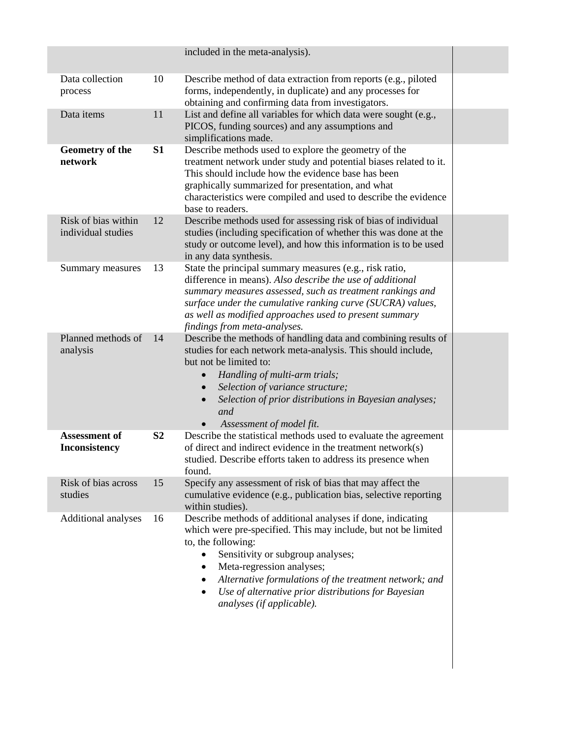|                                           |                | included in the meta-analysis).                                                                                                                                                                                                                                                                                                                                                                                 |  |
|-------------------------------------------|----------------|-----------------------------------------------------------------------------------------------------------------------------------------------------------------------------------------------------------------------------------------------------------------------------------------------------------------------------------------------------------------------------------------------------------------|--|
| Data collection<br>process                | 10             | Describe method of data extraction from reports (e.g., piloted<br>forms, independently, in duplicate) and any processes for<br>obtaining and confirming data from investigators.                                                                                                                                                                                                                                |  |
| Data items                                | 11             | List and define all variables for which data were sought (e.g.,<br>PICOS, funding sources) and any assumptions and<br>simplifications made.                                                                                                                                                                                                                                                                     |  |
| Geometry of the<br>network                | <b>S1</b>      | Describe methods used to explore the geometry of the<br>treatment network under study and potential biases related to it.<br>This should include how the evidence base has been<br>graphically summarized for presentation, and what<br>characteristics were compiled and used to describe the evidence<br>base to readers.                                                                                     |  |
| Risk of bias within<br>individual studies | 12             | Describe methods used for assessing risk of bias of individual<br>studies (including specification of whether this was done at the<br>study or outcome level), and how this information is to be used<br>in any data synthesis.                                                                                                                                                                                 |  |
| Summary measures                          | 13             | State the principal summary measures (e.g., risk ratio,<br>difference in means). Also describe the use of additional<br>summary measures assessed, such as treatment rankings and<br>surface under the cumulative ranking curve (SUCRA) values,<br>as well as modified approaches used to present summary<br>findings from meta-analyses.                                                                       |  |
| Planned methods of<br>analysis            | 14             | Describe the methods of handling data and combining results of<br>studies for each network meta-analysis. This should include,<br>but not be limited to:<br>Handling of multi-arm trials;<br>Selection of variance structure;<br>$\bullet$<br>Selection of prior distributions in Bayesian analyses;<br>$\bullet$<br>and<br>Assessment of model fit.                                                            |  |
| Assessment of<br>Inconsistency            | S <sub>2</sub> | Describe the statistical methods used to evaluate the agreement<br>of direct and indirect evidence in the treatment network(s)<br>studied. Describe efforts taken to address its presence when<br>found.                                                                                                                                                                                                        |  |
| Risk of bias across<br>studies            | 15             | Specify any assessment of risk of bias that may affect the<br>cumulative evidence (e.g., publication bias, selective reporting<br>within studies).                                                                                                                                                                                                                                                              |  |
| Additional analyses                       | 16             | Describe methods of additional analyses if done, indicating<br>which were pre-specified. This may include, but not be limited<br>to, the following:<br>Sensitivity or subgroup analyses;<br>$\bullet$<br>Meta-regression analyses;<br>$\bullet$<br>Alternative formulations of the treatment network; and<br>٠<br>Use of alternative prior distributions for Bayesian<br>$\bullet$<br>analyses (if applicable). |  |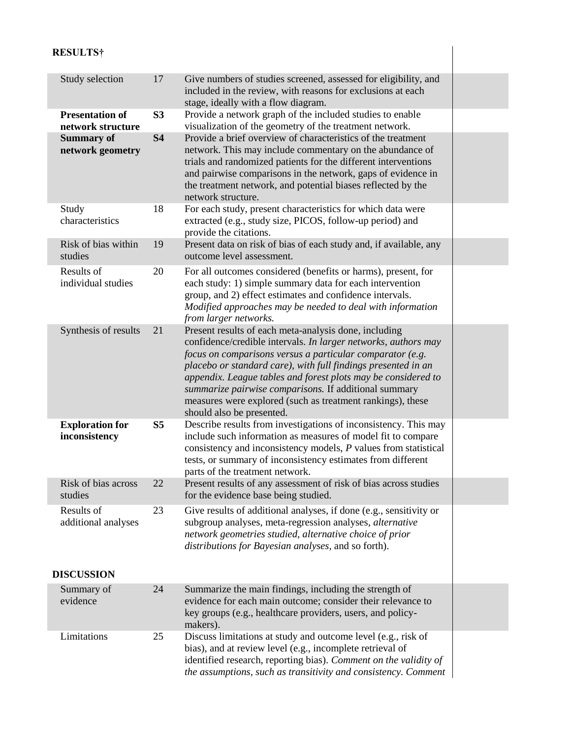# **RESULTS†**

| Study selection                             | 17             | Give numbers of studies screened, assessed for eligibility, and<br>included in the review, with reasons for exclusions at each<br>stage, ideally with a flow diagram.                                                                                                                                                                                                                                                                                                      |  |
|---------------------------------------------|----------------|----------------------------------------------------------------------------------------------------------------------------------------------------------------------------------------------------------------------------------------------------------------------------------------------------------------------------------------------------------------------------------------------------------------------------------------------------------------------------|--|
| <b>Presentation of</b><br>network structure | S <sub>3</sub> | Provide a network graph of the included studies to enable<br>visualization of the geometry of the treatment network.                                                                                                                                                                                                                                                                                                                                                       |  |
| <b>Summary of</b><br>network geometry       | <b>S4</b>      | Provide a brief overview of characteristics of the treatment<br>network. This may include commentary on the abundance of<br>trials and randomized patients for the different interventions<br>and pairwise comparisons in the network, gaps of evidence in<br>the treatment network, and potential biases reflected by the<br>network structure.                                                                                                                           |  |
| Study<br>characteristics                    | 18             | For each study, present characteristics for which data were<br>extracted (e.g., study size, PICOS, follow-up period) and<br>provide the citations.                                                                                                                                                                                                                                                                                                                         |  |
| Risk of bias within<br>studies              | 19             | Present data on risk of bias of each study and, if available, any<br>outcome level assessment.                                                                                                                                                                                                                                                                                                                                                                             |  |
| Results of<br>individual studies            | 20             | For all outcomes considered (benefits or harms), present, for<br>each study: 1) simple summary data for each intervention<br>group, and 2) effect estimates and confidence intervals.<br>Modified approaches may be needed to deal with information<br>from larger networks.                                                                                                                                                                                               |  |
| Synthesis of results                        | 21             | Present results of each meta-analysis done, including<br>confidence/credible intervals. In larger networks, authors may<br>focus on comparisons versus a particular comparator (e.g.<br>placebo or standard care), with full findings presented in an<br>appendix. League tables and forest plots may be considered to<br>summarize pairwise comparisons. If additional summary<br>measures were explored (such as treatment rankings), these<br>should also be presented. |  |
| <b>Exploration for</b><br>inconsistency     | S <sub>5</sub> | Describe results from investigations of inconsistency. This may<br>include such information as measures of model fit to compare<br>consistency and inconsistency models, P values from statistical<br>tests, or summary of inconsistency estimates from different<br>parts of the treatment network.                                                                                                                                                                       |  |
| Risk of bias across<br>studies              | 22             | Present results of any assessment of risk of bias across studies<br>for the evidence base being studied.                                                                                                                                                                                                                                                                                                                                                                   |  |
| Results of<br>additional analyses           | 23             | Give results of additional analyses, if done (e.g., sensitivity or<br>subgroup analyses, meta-regression analyses, alternative<br>network geometries studied, alternative choice of prior<br>distributions for Bayesian analyses, and so forth).                                                                                                                                                                                                                           |  |
| <b>DISCUSSION</b>                           |                |                                                                                                                                                                                                                                                                                                                                                                                                                                                                            |  |
| Summary of<br>evidence                      | 24             | Summarize the main findings, including the strength of<br>evidence for each main outcome; consider their relevance to<br>key groups (e.g., healthcare providers, users, and policy-<br>makers).                                                                                                                                                                                                                                                                            |  |
| Limitations                                 | 25             | Discuss limitations at study and outcome level (e.g., risk of<br>bias), and at review level (e.g., incomplete retrieval of<br>identified research, reporting bias). Comment on the validity of<br>the assumptions, such as transitivity and consistency. Comment                                                                                                                                                                                                           |  |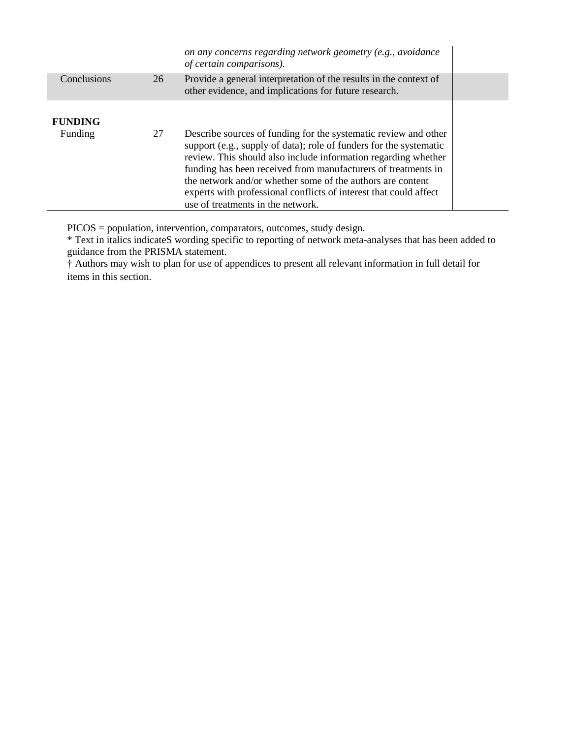|                |    | on any concerns regarding network geometry (e.g., avoidance<br>of certain comparisons).                                                                                                                                                                                                                                                                                                                                                          |  |
|----------------|----|--------------------------------------------------------------------------------------------------------------------------------------------------------------------------------------------------------------------------------------------------------------------------------------------------------------------------------------------------------------------------------------------------------------------------------------------------|--|
| Conclusions    | 26 | Provide a general interpretation of the results in the context of<br>other evidence, and implications for future research.                                                                                                                                                                                                                                                                                                                       |  |
| <b>FUNDING</b> |    |                                                                                                                                                                                                                                                                                                                                                                                                                                                  |  |
| Funding        | 27 | Describe sources of funding for the systematic review and other<br>support (e.g., supply of data); role of funders for the systematic<br>review. This should also include information regarding whether<br>funding has been received from manufacturers of treatments in<br>the network and/or whether some of the authors are content<br>experts with professional conflicts of interest that could affect<br>use of treatments in the network. |  |

PICOS = population, intervention, comparators, outcomes, study design.

\* Text in italics indicateS wording specific to reporting of network meta-analyses that has been added to guidance from the PRISMA statement.

† Authors may wish to plan for use of appendices to present all relevant information in full detail for items in this section.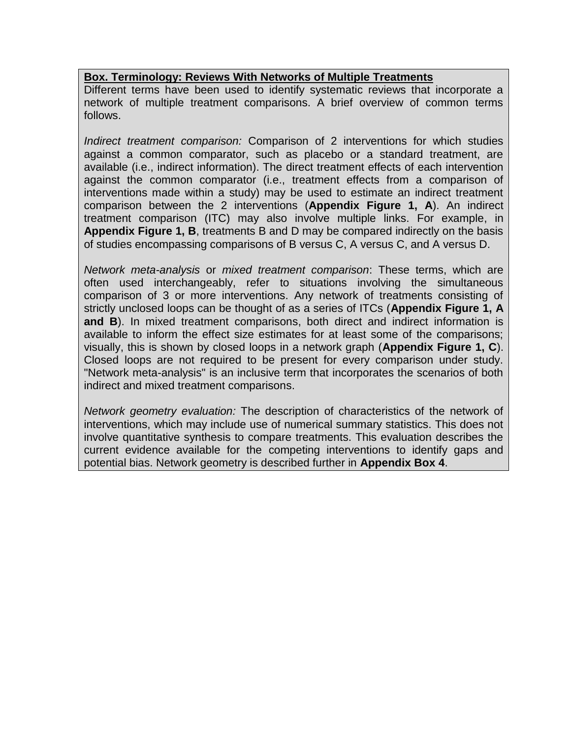### **Box. Terminology: Reviews With Networks of Multiple Treatments**

Different terms have been used to identify systematic reviews that incorporate a network of multiple treatment comparisons. A brief overview of common terms follows.

*Indirect treatment comparison:* Comparison of 2 interventions for which studies against a common comparator, such as placebo or a standard treatment, are available (i.e., indirect information). The direct treatment effects of each intervention against the common comparator (i.e., treatment effects from a comparison of interventions made within a study) may be used to estimate an indirect treatment comparison between the 2 interventions (**Appendix Figure 1, A**). An indirect treatment comparison (ITC) may also involve multiple links. For example, in **Appendix Figure 1, B**, treatments B and D may be compared indirectly on the basis of studies encompassing comparisons of B versus C, A versus C, and A versus D.

*Network meta-analysis* or *mixed treatment comparison*: These terms, which are often used interchangeably, refer to situations involving the simultaneous comparison of 3 or more interventions. Any network of treatments consisting of strictly unclosed loops can be thought of as a series of ITCs (**Appendix Figure 1, A and B**). In mixed treatment comparisons, both direct and indirect information is available to inform the effect size estimates for at least some of the comparisons; visually, this is shown by closed loops in a network graph (**Appendix Figure 1, C**). Closed loops are not required to be present for every comparison under study. "Network meta-analysis" is an inclusive term that incorporates the scenarios of both indirect and mixed treatment comparisons.

*Network geometry evaluation:* The description of characteristics of the network of interventions, which may include use of numerical summary statistics. This does not involve quantitative synthesis to compare treatments. This evaluation describes the current evidence available for the competing interventions to identify gaps and potential bias. Network geometry is described further in **Appendix Box 4**.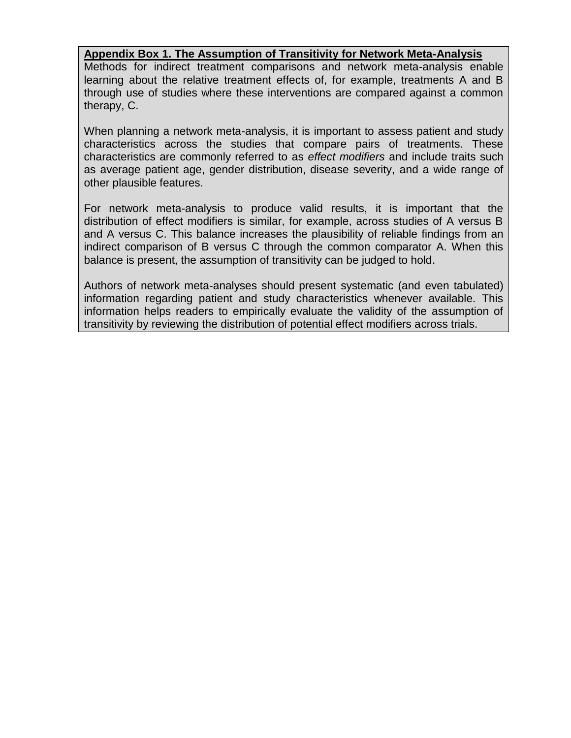### **Appendix Box 1. The Assumption of Transitivity for Network Meta-Analysis**

Methods for indirect treatment comparisons and network meta-analysis enable learning about the relative treatment effects of, for example, treatments A and B through use of studies where these interventions are compared against a common therapy, C.

When planning a network meta-analysis, it is important to assess patient and study characteristics across the studies that compare pairs of treatments. These characteristics are commonly referred to as *effect modifiers* and include traits such as average patient age, gender distribution, disease severity, and a wide range of other plausible features.

For network meta-analysis to produce valid results, it is important that the distribution of effect modifiers is similar, for example, across studies of A versus B and A versus C. This balance increases the plausibility of reliable findings from an indirect comparison of B versus C through the common comparator A. When this balance is present, the assumption of transitivity can be judged to hold.

Authors of network meta-analyses should present systematic (and even tabulated) information regarding patient and study characteristics whenever available. This information helps readers to empirically evaluate the validity of the assumption of transitivity by reviewing the distribution of potential effect modifiers across trials.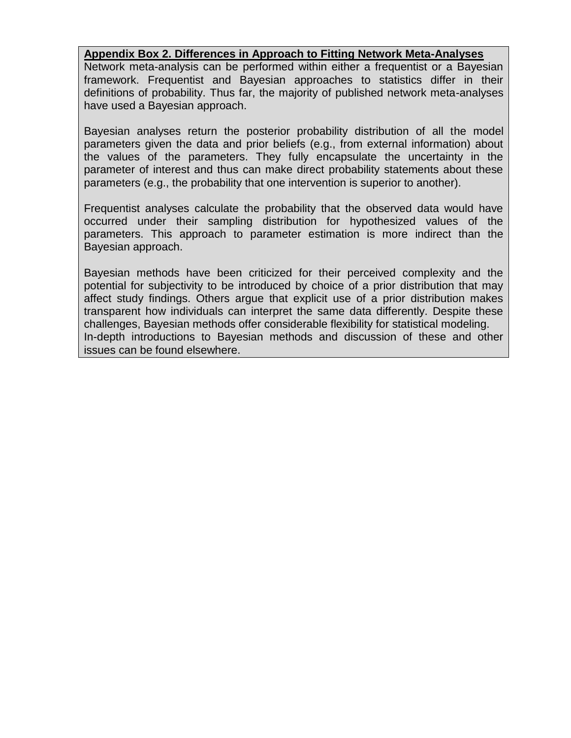### **Appendix Box 2. Differences in Approach to Fitting Network Meta-Analyses**

Network meta-analysis can be performed within either a frequentist or a Bayesian framework. Frequentist and Bayesian approaches to statistics differ in their definitions of probability. Thus far, the majority of published network meta-analyses have used a Bayesian approach.

Bayesian analyses return the posterior probability distribution of all the model parameters given the data and prior beliefs (e.g., from external information) about the values of the parameters. They fully encapsulate the uncertainty in the parameter of interest and thus can make direct probability statements about these parameters (e.g., the probability that one intervention is superior to another).

Frequentist analyses calculate the probability that the observed data would have occurred under their sampling distribution for hypothesized values of the parameters. This approach to parameter estimation is more indirect than the Bayesian approach.

Bayesian methods have been criticized for their perceived complexity and the potential for subjectivity to be introduced by choice of a prior distribution that may affect study findings. Others argue that explicit use of a prior distribution makes transparent how individuals can interpret the same data differently. Despite these challenges, Bayesian methods offer considerable flexibility for statistical modeling. In-depth introductions to Bayesian methods and discussion of these and other issues can be found elsewhere.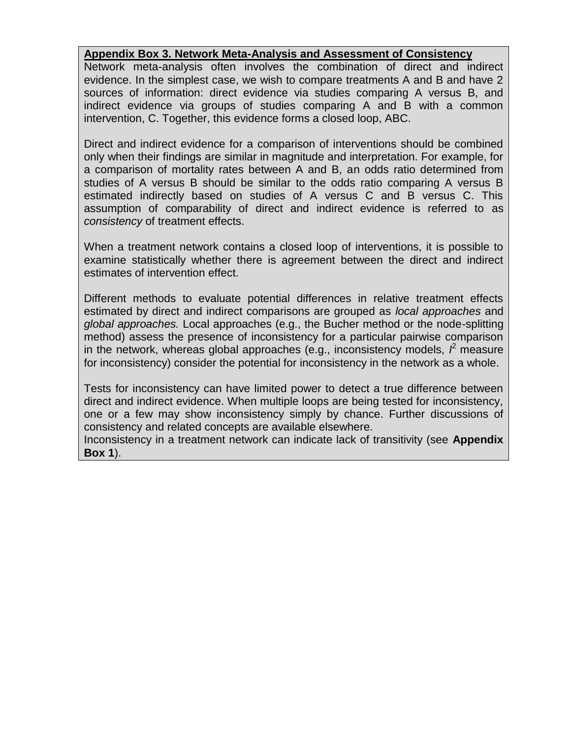#### **Appendix Box 3. Network Meta-Analysis and Assessment of Consistency**

Network meta-analysis often involves the combination of direct and indirect evidence. In the simplest case, we wish to compare treatments A and B and have 2 sources of information: direct evidence via studies comparing A versus B, and indirect evidence via groups of studies comparing A and B with a common intervention, C. Together, this evidence forms a closed loop, ABC.

Direct and indirect evidence for a comparison of interventions should be combined only when their findings are similar in magnitude and interpretation. For example, for a comparison of mortality rates between A and B, an odds ratio determined from studies of A versus B should be similar to the odds ratio comparing A versus B estimated indirectly based on studies of A versus C and B versus C. This assumption of comparability of direct and indirect evidence is referred to as *consistency* of treatment effects.

When a treatment network contains a closed loop of interventions, it is possible to examine statistically whether there is agreement between the direct and indirect estimates of intervention effect.

Different methods to evaluate potential differences in relative treatment effects estimated by direct and indirect comparisons are grouped as *local approaches* and *global approaches.* Local approaches (e.g., the Bucher method or the node-splitting method) assess the presence of inconsistency for a particular pairwise comparison in the network, whereas global approaches (e.g., inconsistency models,  $\hat{f}$  measure for inconsistency) consider the potential for inconsistency in the network as a whole.

Tests for inconsistency can have limited power to detect a true difference between direct and indirect evidence. When multiple loops are being tested for inconsistency, one or a few may show inconsistency simply by chance. Further discussions of consistency and related concepts are available elsewhere.

Inconsistency in a treatment network can indicate lack of transitivity (see **Appendix Box 1**).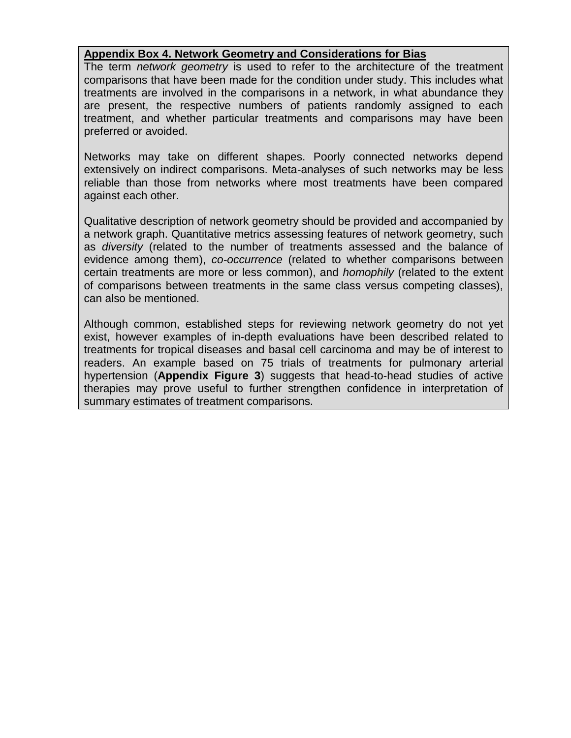### **Appendix Box 4. Network Geometry and Considerations for Bias**

The term *network geometry* is used to refer to the architecture of the treatment comparisons that have been made for the condition under study. This includes what treatments are involved in the comparisons in a network, in what abundance they are present, the respective numbers of patients randomly assigned to each treatment, and whether particular treatments and comparisons may have been preferred or avoided.

Networks may take on different shapes. Poorly connected networks depend extensively on indirect comparisons. Meta-analyses of such networks may be less reliable than those from networks where most treatments have been compared against each other.

Qualitative description of network geometry should be provided and accompanied by a network graph. Quantitative metrics assessing features of network geometry, such as *diversity* (related to the number of treatments assessed and the balance of evidence among them), *co-occurrence* (related to whether comparisons between certain treatments are more or less common), and *homophily* (related to the extent of comparisons between treatments in the same class versus competing classes), can also be mentioned.

Although common, established steps for reviewing network geometry do not yet exist, however examples of in-depth evaluations have been described related to treatments for tropical diseases and basal cell carcinoma and may be of interest to readers. An example based on 75 trials of treatments for pulmonary arterial hypertension (**Appendix Figure 3**) suggests that head-to-head studies of active therapies may prove useful to further strengthen confidence in interpretation of summary estimates of treatment comparisons.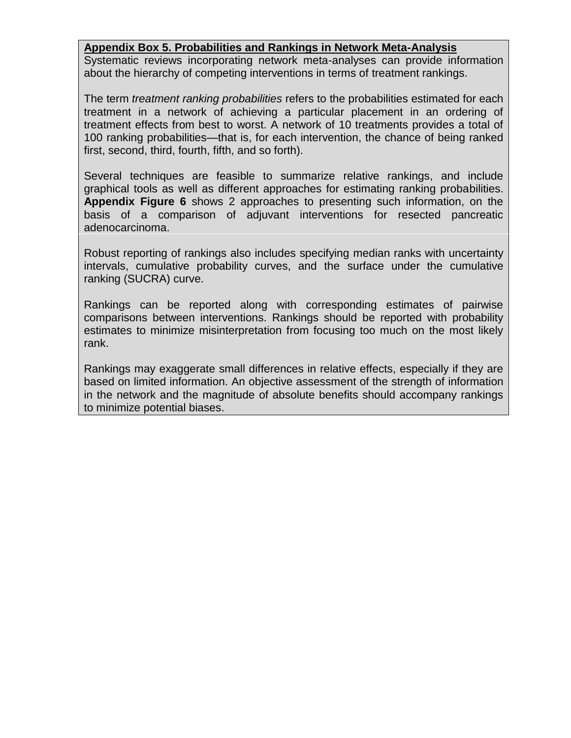#### **Appendix Box 5. Probabilities and Rankings in Network Meta-Analysis**

Systematic reviews incorporating network meta-analyses can provide information about the hierarchy of competing interventions in terms of treatment rankings.

The term *treatment ranking probabilities* refers to the probabilities estimated for each treatment in a network of achieving a particular placement in an ordering of treatment effects from best to worst. A network of 10 treatments provides a total of 100 ranking probabilities—that is, for each intervention, the chance of being ranked first, second, third, fourth, fifth, and so forth).

Several techniques are feasible to summarize relative rankings, and include graphical tools as well as different approaches for estimating ranking probabilities. **Appendix Figure 6** shows 2 approaches to presenting such information, on the basis of a comparison of adjuvant interventions for resected pancreatic adenocarcinoma.

Robust reporting of rankings also includes specifying median ranks with uncertainty intervals, cumulative probability curves, and the surface under the cumulative ranking (SUCRA) curve.

Rankings can be reported along with corresponding estimates of pairwise comparisons between interventions. Rankings should be reported with probability estimates to minimize misinterpretation from focusing too much on the most likely rank.

Rankings may exaggerate small differences in relative effects, especially if they are based on limited information. An objective assessment of the strength of information in the network and the magnitude of absolute benefits should accompany rankings to minimize potential biases.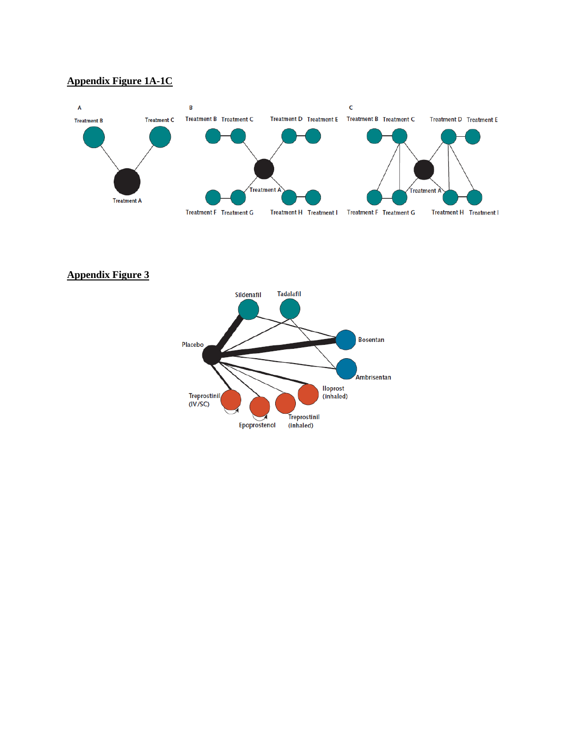# **Appendix Figure 1A-1C**



**Appendix Figure 3**